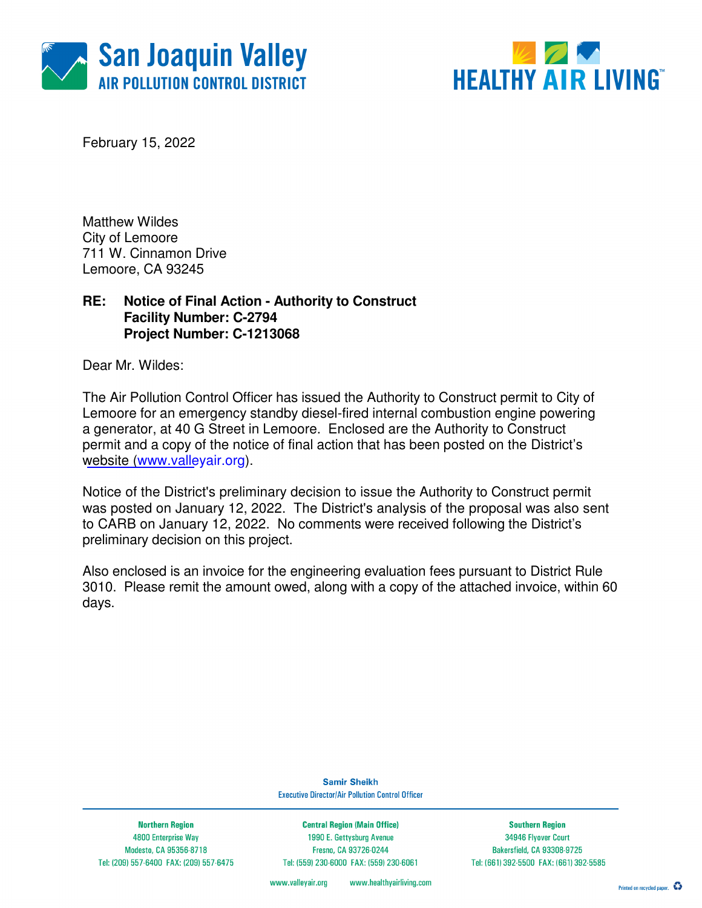



February 15, 2022

Matthew Wildes City of Lemoore 711 W. Cinnamon Drive Lemoore, CA 93245

### **RE: Notice of Final Action - Authority to Construct Facility Number: C-2794 Project Number: C-1213068**

Dear Mr. Wildes:

The Air Pollution Control Officer has issued the Authority to Construct permit to City of Lemoore for an emergency standby diesel-fired internal combustion engine powering a generator, at 40 G Street in Lemoore. Enclosed are the Authority to Construct permit and a copy of the notice of final action that has been posted on the District's website (www.valleyair.org).

Notice of the District's preliminary decision to issue the Authority to Construct permit was posted on January 12, 2022. The District's analysis of the proposal was also sent to CARB on January 12, 2022. No comments were received following the District's preliminary decision on this project.

Also enclosed is an invoice for the engineering evaluation fees pursuant to District Rule 3010. Please remit the amount owed, along with a copy of the attached invoice, within 60 days.

> **Samir Sheikh Executive Director/Air Pollution Control Officer**

**Northern Region** 4800 Enterprise Way Modesto, CA 95356-8718 Tel: (209) 557-6400 FAX: (209) 557-6475

**Central Region (Main Office)** 1990 E. Gettysburg Avenue Fresno, CA 93726-0244 Tel: (559) 230-6000 FAX: (559) 230-6061

**Southern Region** 34946 Flyover Court Bakersfield, CA 93308-9725 Tel: (661) 392-5500 FAX: (661) 392-5585

www.healthyairliving.com www.valleyair.org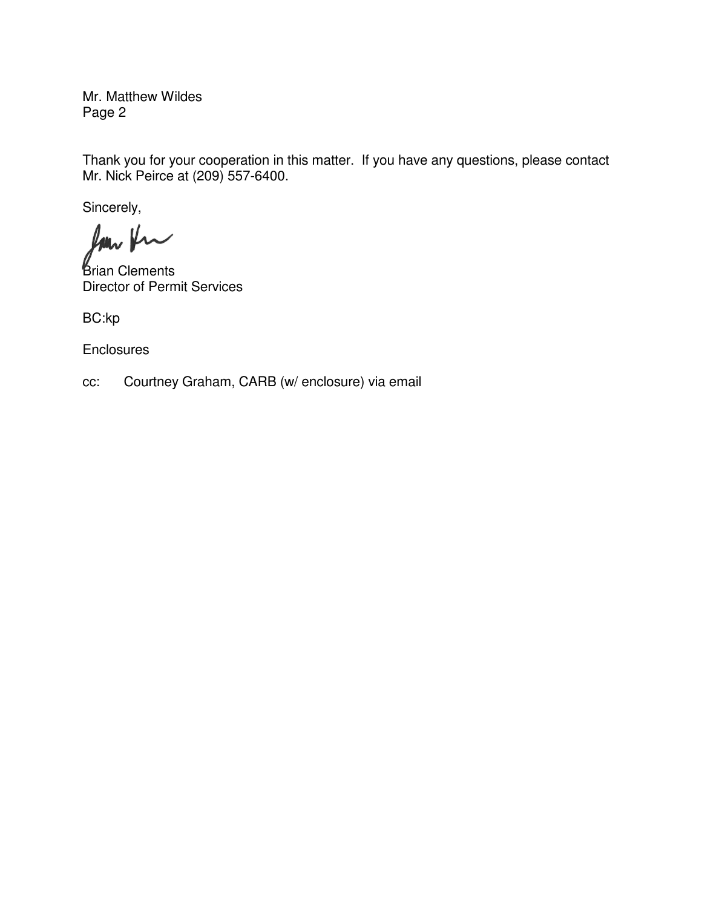Mr. Matthew Wildes Page 2

Thank you for your cooperation in this matter. If you have any questions, please contact Mr. Nick Peirce at (209) 557-6400.

Sincerely,

Ram Kr

*Brian Clements* Director of Permit Services

BC:kp

**Enclosures** 

cc: Courtney Graham, CARB (w/ enclosure) via email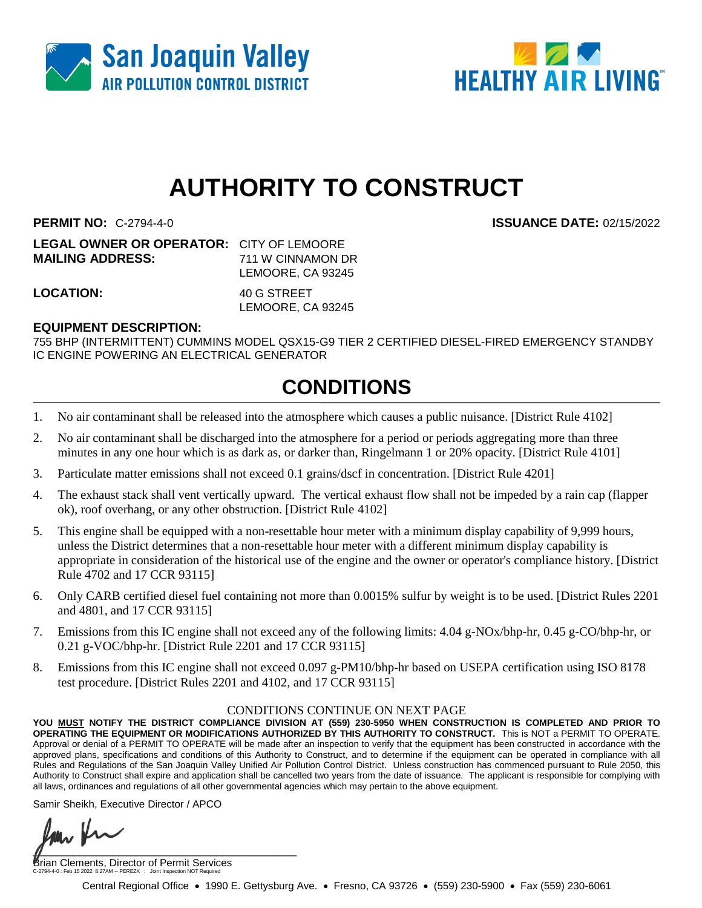



# **AUTHORITY TO CONSTRUCT**

**PERMIT NO:** C-2794-4-0 **ISSUANCE DATE:** 02/15/2022

| <b>LEGAL OWNER OR OPERATOR: CITY OF LEMOORE</b> |                   |
|-------------------------------------------------|-------------------|
| <b>MAILING ADDRESS:</b>                         | 711 W CINNAMON DR |
|                                                 | LEMOORE, CA 93245 |
|                                                 |                   |

**LOCATION:** 40 G STREET

LEMOORE, CA 93245

#### **EQUIPMENT DESCRIPTION:**

755 BHP (INTERMITTENT) CUMMINS MODEL QSX15-G9 TIER 2 CERTIFIED DIESEL-FIRED EMERGENCY STANDBY IC ENGINE POWERING AN ELECTRICAL GENERATOR

## **CONDITIONS**

- 1. No air contaminant shall be released into the atmosphere which causes a public nuisance. [District Rule 4102]
- 2. No air contaminant shall be discharged into the atmosphere for a period or periods aggregating more than three minutes in any one hour which is as dark as, or darker than, Ringelmann 1 or 20% opacity. [District Rule 4101]
- 3. Particulate matter emissions shall not exceed 0.1 grains/dscf in concentration. [District Rule 4201]
- 4. The exhaust stack shall vent vertically upward. The vertical exhaust flow shall not be impeded by a rain cap (flapper ok), roof overhang, or any other obstruction. [District Rule 4102]
- 5. This engine shall be equipped with a non-resettable hour meter with a minimum display capability of 9,999 hours, unless the District determines that a non-resettable hour meter with a different minimum display capability is appropriate in consideration of the historical use of the engine and the owner or operator's compliance history. [District Rule 4702 and 17 CCR 93115]
- 6. Only CARB certified diesel fuel containing not more than 0.0015% sulfur by weight is to be used. [District Rules 2201 and 4801, and 17 CCR 93115]
- 7. Emissions from this IC engine shall not exceed any of the following limits: 4.04 g-NOx/bhp-hr, 0.45 g-CO/bhp-hr, or 0.21 g-VOC/bhp-hr. [District Rule 2201 and 17 CCR 93115]
- 8. Emissions from this IC engine shall not exceed 0.097 g-PM10/bhp-hr based on USEPA certification using ISO 8178 test procedure. [District Rules 2201 and 4102, and 17 CCR 93115]

#### CONDITIONS CONTINUE ON NEXT PAGE

**YOU MUST NOTIFY THE DISTRICT COMPLIANCE DIVISION AT (559) 230-5950 WHEN CONSTRUCTION IS COMPLETED AND PRIOR TO OPERATING THE EQUIPMENT OR MODIFICATIONS AUTHORIZED BY THIS AUTHORITY TO CONSTRUCT.** This is NOT a PERMIT TO OPERATE. Approval or denial of a PERMIT TO OPERATE will be made after an inspection to verify that the equipment has been constructed in accordance with the approved plans, specifications and conditions of this Authority to Construct, and to determine if the equipment can be operated in compliance with all Rules and Regulations of the San Joaquin Valley Unified Air Pollution Control District. Unless construction has commenced pursuant to Rule 2050, this Authority to Construct shall expire and application shall be cancelled two years from the date of issuance. The applicant is responsible for complying with all laws, ordinances and regulations of all other governmental agencies which may pertain to the above equipment.

Samir Sheikh, Executive Director / APCO

 $\blacksquare$ 

Brian Clements, Director of Permit Services C-2794-4-0 : Feb 15 2022 8:27AM -- PEREZK : Joint Inspection NOT Required

Central Regional Office • 1990 E. Gettysburg Ave. • Fresno, CA 93726 • (559) 230-5900 • Fax (559) 230-6061